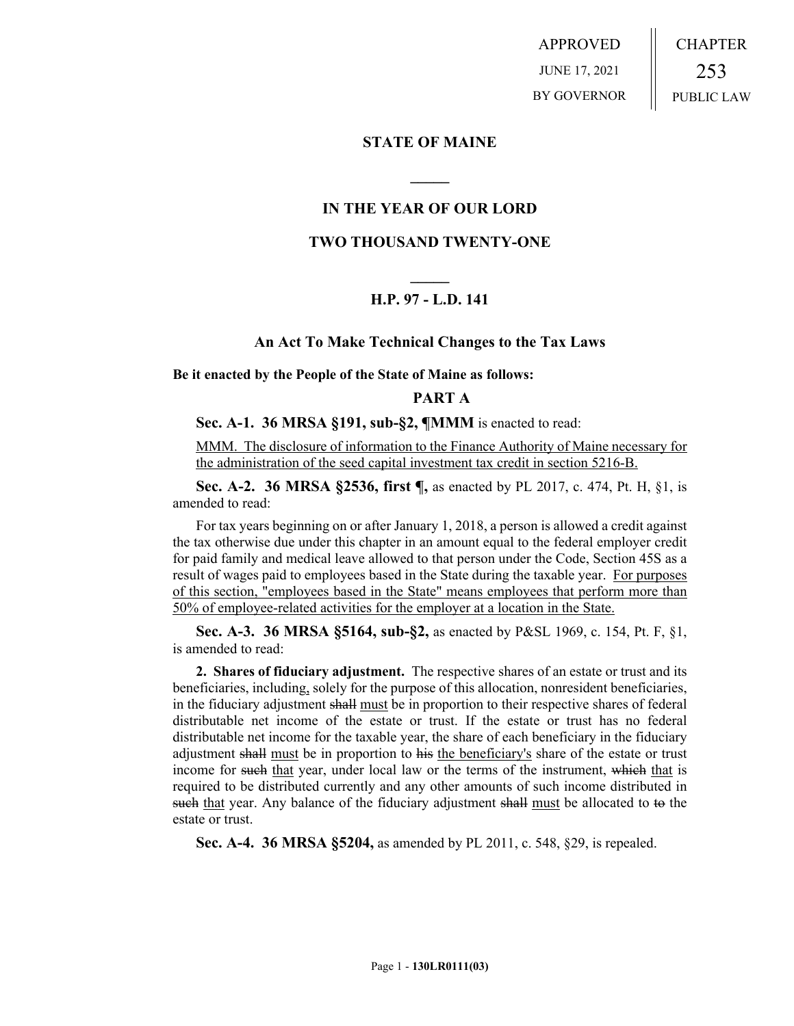APPROVED JUNE 17, 2021 BY GOVERNOR CHAPTER 253 PUBLIC LAW

## **STATE OF MAINE**

# **IN THE YEAR OF OUR LORD**

**\_\_\_\_\_**

# **TWO THOUSAND TWENTY-ONE**

# **\_\_\_\_\_ H.P. 97 - L.D. 141**

## **An Act To Make Technical Changes to the Tax Laws**

**Be it enacted by the People of the State of Maine as follows:**

## **PART A**

## **Sec. A-1. 36 MRSA §191, sub-§2, ¶MMM** is enacted to read:

MMM. The disclosure of information to the Finance Authority of Maine necessary for the administration of the seed capital investment tax credit in section 5216-B.

**Sec. A-2. 36 MRSA §2536, first ¶,** as enacted by PL 2017, c. 474, Pt. H, §1, is amended to read:

For tax years beginning on or after January 1, 2018, a person is allowed a credit against the tax otherwise due under this chapter in an amount equal to the federal employer credit for paid family and medical leave allowed to that person under the Code, Section 45S as a result of wages paid to employees based in the State during the taxable year. For purposes of this section, "employees based in the State" means employees that perform more than 50% of employee-related activities for the employer at a location in the State.

**Sec. A-3. 36 MRSA §5164, sub-§2,** as enacted by P&SL 1969, c. 154, Pt. F, §1, is amended to read:

**2. Shares of fiduciary adjustment.** The respective shares of an estate or trust and its beneficiaries, including, solely for the purpose of this allocation, nonresident beneficiaries, in the fiduciary adjustment shall must be in proportion to their respective shares of federal distributable net income of the estate or trust. If the estate or trust has no federal distributable net income for the taxable year, the share of each beneficiary in the fiduciary adjustment shall must be in proportion to his the beneficiary's share of the estate or trust income for such that year, under local law or the terms of the instrument, which that is required to be distributed currently and any other amounts of such income distributed in such that year. Any balance of the fiduciary adjustment shall must be allocated to to the estate or trust.

**Sec. A-4. 36 MRSA §5204,** as amended by PL 2011, c. 548, §29, is repealed.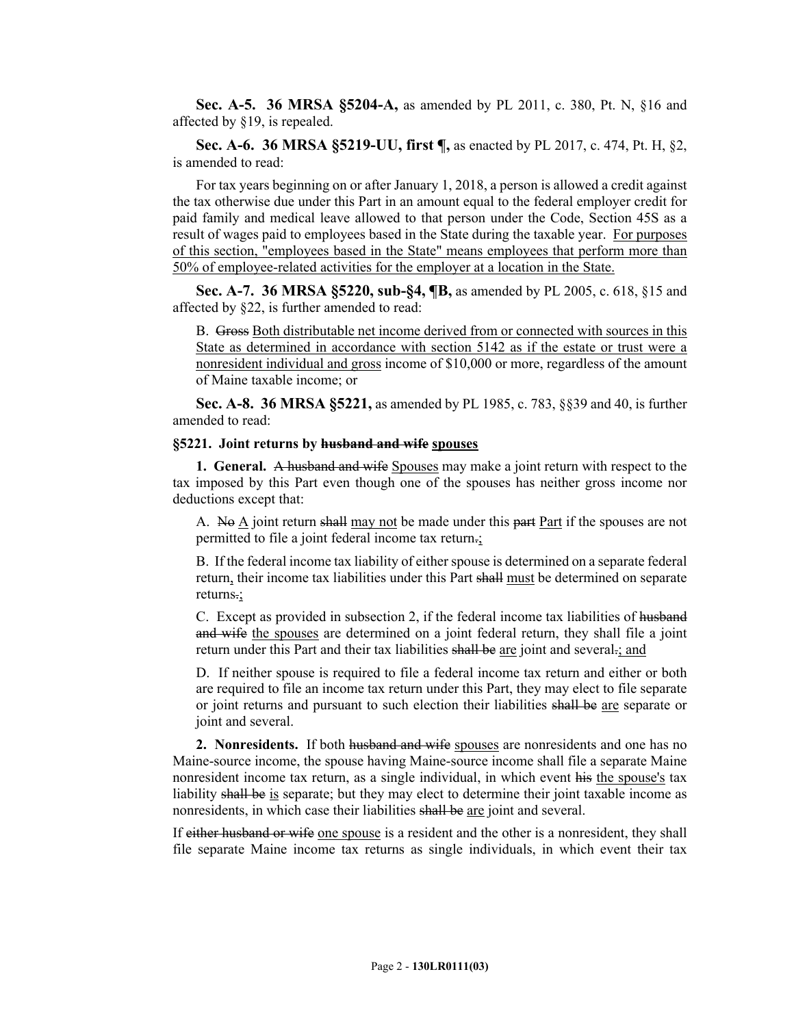**Sec. A-5. 36 MRSA §5204-A,** as amended by PL 2011, c. 380, Pt. N, §16 and affected by §19, is repealed.

**Sec. A-6. 36 MRSA §5219-UU, first ¶,** as enacted by PL 2017, c. 474, Pt. H, §2, is amended to read:

For tax years beginning on or after January 1, 2018, a person is allowed a credit against the tax otherwise due under this Part in an amount equal to the federal employer credit for paid family and medical leave allowed to that person under the Code, Section 45S as a result of wages paid to employees based in the State during the taxable year. For purposes of this section, "employees based in the State" means employees that perform more than 50% of employee-related activities for the employer at a location in the State.

**Sec. A-7. 36 MRSA §5220, sub-§4, ¶B,** as amended by PL 2005, c. 618, §15 and affected by §22, is further amended to read:

B. Gross Both distributable net income derived from or connected with sources in this State as determined in accordance with section 5142 as if the estate or trust were a nonresident individual and gross income of \$10,000 or more, regardless of the amount of Maine taxable income; or

**Sec. A-8. 36 MRSA §5221,** as amended by PL 1985, c. 783, §§39 and 40, is further amended to read:

#### **§5221. Joint returns by husband and wife spouses**

**1. General.** A husband and wife Spouses may make a joint return with respect to the tax imposed by this Part even though one of the spouses has neither gross income nor deductions except that:

A. No A joint return shall may not be made under this part Part if the spouses are not permitted to file a joint federal income tax return.;

B. If the federal income tax liability of either spouse is determined on a separate federal return, their income tax liabilities under this Part shall must be determined on separate returns.;

C. Except as provided in subsection 2, if the federal income tax liabilities of husband and wife the spouses are determined on a joint federal return, they shall file a joint return under this Part and their tax liabilities shall be are joint and several.; and

D. If neither spouse is required to file a federal income tax return and either or both are required to file an income tax return under this Part, they may elect to file separate or joint returns and pursuant to such election their liabilities shall be are separate or joint and several.

**2. Nonresidents.** If both husband and wife spouses are nonresidents and one has no Maine-source income, the spouse having Maine-source income shall file a separate Maine nonresident income tax return, as a single individual, in which event his the spouse's tax liability shall be is separate; but they may elect to determine their joint taxable income as nonresidents, in which case their liabilities shall be are joint and several.

If either husband or wife one spouse is a resident and the other is a nonresident, they shall file separate Maine income tax returns as single individuals, in which event their tax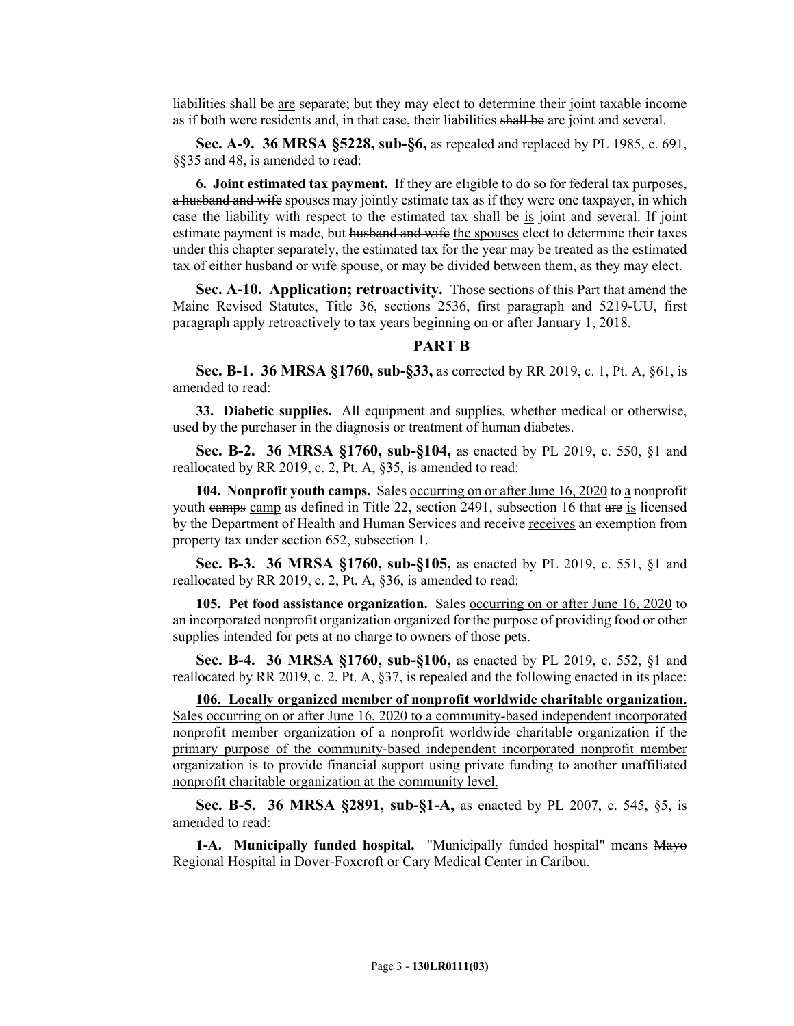liabilities shall be are separate; but they may elect to determine their joint taxable income as if both were residents and, in that case, their liabilities shall be are joint and several.

**Sec. A-9. 36 MRSA §5228, sub-§6,** as repealed and replaced by PL 1985, c. 691, §§35 and 48, is amended to read:

**6. Joint estimated tax payment.** If they are eligible to do so for federal tax purposes, a husband and wife spouses may jointly estimate tax as if they were one taxpayer, in which case the liability with respect to the estimated tax shall be is joint and several. If joint estimate payment is made, but husband and wife the spouses elect to determine their taxes under this chapter separately, the estimated tax for the year may be treated as the estimated tax of either husband or wife spouse, or may be divided between them, as they may elect.

**Sec. A-10. Application; retroactivity.** Those sections of this Part that amend the Maine Revised Statutes, Title 36, sections 2536, first paragraph and 5219-UU, first paragraph apply retroactively to tax years beginning on or after January 1, 2018.

### **PART B**

**Sec. B-1. 36 MRSA §1760, sub-§33,** as corrected by RR 2019, c. 1, Pt. A, §61, is amended to read:

**33. Diabetic supplies.** All equipment and supplies, whether medical or otherwise, used by the purchaser in the diagnosis or treatment of human diabetes.

**Sec. B-2. 36 MRSA §1760, sub-§104,** as enacted by PL 2019, c. 550, §1 and reallocated by RR 2019, c. 2, Pt. A, §35, is amended to read:

**104. Nonprofit youth camps.** Sales <u>occurring on or after June 16, 2020</u> to a nonprofit youth camps camp as defined in Title 22, section 2491, subsection 16 that are is licensed by the Department of Health and Human Services and receive receives an exemption from property tax under section 652, subsection 1.

**Sec. B-3. 36 MRSA §1760, sub-§105,** as enacted by PL 2019, c. 551, §1 and reallocated by RR 2019, c. 2, Pt. A, §36, is amended to read:

**105. Pet food assistance organization.** Sales occurring on or after June 16, 2020 to an incorporated nonprofit organization organized for the purpose of providing food or other supplies intended for pets at no charge to owners of those pets.

**Sec. B-4. 36 MRSA §1760, sub-§106,** as enacted by PL 2019, c. 552, §1 and reallocated by RR 2019, c. 2, Pt. A, §37, is repealed and the following enacted in its place:

**106. Locally organized member of nonprofit worldwide charitable organization.**  Sales occurring on or after June 16, 2020 to a community-based independent incorporated nonprofit member organization of a nonprofit worldwide charitable organization if the primary purpose of the community-based independent incorporated nonprofit member organization is to provide financial support using private funding to another unaffiliated nonprofit charitable organization at the community level.

**Sec. B-5. 36 MRSA §2891, sub-§1-A,** as enacted by PL 2007, c. 545, §5, is amended to read:

**1-A. Municipally funded hospital.** "Municipally funded hospital" means Mayo Regional Hospital in Dover-Foxcroft or Cary Medical Center in Caribou.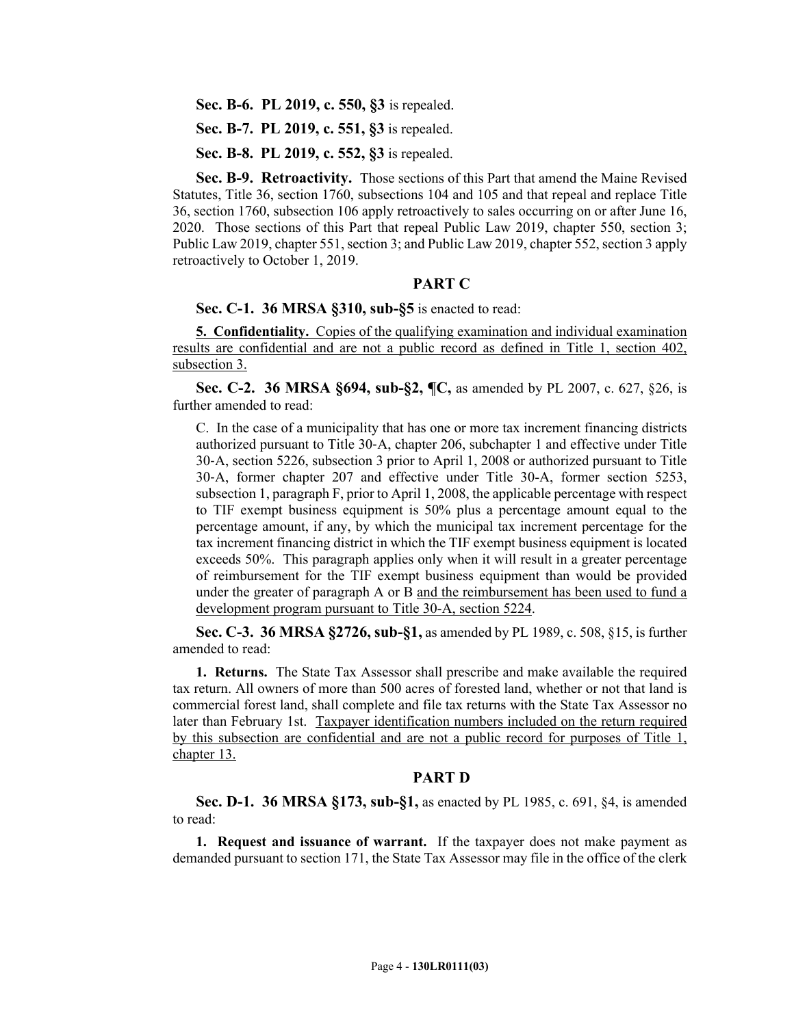**Sec. B-6. PL 2019, c. 550, §3** is repealed.

**Sec. B-7. PL 2019, c. 551, §3** is repealed.

**Sec. B-8. PL 2019, c. 552, §3** is repealed.

**Sec. B-9. Retroactivity.** Those sections of this Part that amend the Maine Revised Statutes, Title 36, section 1760, subsections 104 and 105 and that repeal and replace Title 36, section 1760, subsection 106 apply retroactively to sales occurring on or after June 16, 2020. Those sections of this Part that repeal Public Law 2019, chapter 550, section 3; Public Law 2019, chapter 551, section 3; and Public Law 2019, chapter 552, section 3 apply retroactively to October 1, 2019.

#### **PART C**

## **Sec. C-1. 36 MRSA §310, sub-§5** is enacted to read:

**5. Confidentiality.** Copies of the qualifying examination and individual examination results are confidential and are not a public record as defined in Title 1, section 402, subsection 3.

**Sec. C-2. 36 MRSA §694, sub-§2, ¶C,** as amended by PL 2007, c. 627, §26, is further amended to read:

C. In the case of a municipality that has one or more tax increment financing districts authorized pursuant to Title 30‑A, chapter 206, subchapter 1 and effective under Title 30‑A, section 5226, subsection 3 prior to April 1, 2008 or authorized pursuant to Title 30‑A, former chapter 207 and effective under Title 30-A, former section 5253, subsection 1, paragraph F, prior to April 1, 2008, the applicable percentage with respect to TIF exempt business equipment is 50% plus a percentage amount equal to the percentage amount, if any, by which the municipal tax increment percentage for the tax increment financing district in which the TIF exempt business equipment is located exceeds 50%. This paragraph applies only when it will result in a greater percentage of reimbursement for the TIF exempt business equipment than would be provided under the greater of paragraph A or B and the reimbursement has been used to fund a development program pursuant to Title 30-A, section 5224.

**Sec. C-3. 36 MRSA §2726, sub-§1,** as amended by PL 1989, c. 508, §15, is further amended to read:

**1. Returns.** The State Tax Assessor shall prescribe and make available the required tax return. All owners of more than 500 acres of forested land, whether or not that land is commercial forest land, shall complete and file tax returns with the State Tax Assessor no later than February 1st. Taxpayer identification numbers included on the return required by this subsection are confidential and are not a public record for purposes of Title 1, chapter 13.

#### **PART D**

**Sec. D-1. 36 MRSA §173, sub-§1,** as enacted by PL 1985, c. 691, §4, is amended to read:

**1. Request and issuance of warrant.** If the taxpayer does not make payment as demanded pursuant to section 171, the State Tax Assessor may file in the office of the clerk